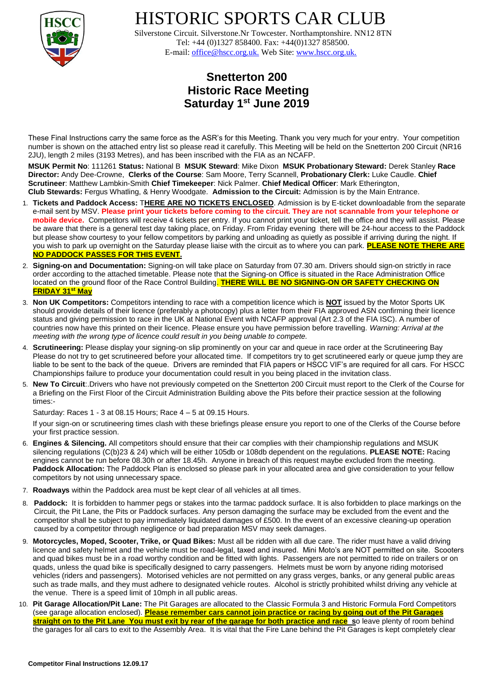

HISTORIC SPORTS CAR CLUB

 Silverstone Circuit. Silverstone.Nr Towcester. Northamptonshire. NN12 8TN Tel: +44 (0)1327 858400. Fax: +44(0)1327 858500. E-mail: office@hscc.org.uk. Web Site: www.hscc.org.uk.

## **Snetterton 200 Historic Race Meeting Saturday 1st June 2019**

These Final Instructions carry the same force as the ASR's for this Meeting. Thank you very much for your entry. Your competition number is shown on the attached entry list so please read it carefully. This Meeting will be held on the Snetterton 200 Circuit (NR16 2JU), length 2 miles (3193 Metres), and has been inscribed with the FIA as an NCAFP.

**MSUK Permit No**: 111261 **Status:** National B **MSUK Steward**: Mike Dixon **MSUK Probationary Steward:** Derek Stanley **Race Director:** Andy Dee-Crowne, **Clerks of the Course**: Sam Moore, Terry Scannell, **Probationary Clerk:** Luke Caudle. **Chief Scrutineer**: Matthew Lambkin-Smith **Chief Timekeeper**: Nick Palmer. **Chief Medical Officer**: Mark Etherington, **Club Stewards:** Fergus Whatling, & Henry Woodgate. **Admission to the Circuit:** Admission is by the Main Entrance.

- 1. **Tickets and Paddock Access:** T**HERE ARE NO TICKETS ENCLOSED**. Admission is by E-ticket downloadable from the separate e-mail sent by MSV. **Please print your tickets before coming to the circuit. They are not scannable from your telephone or mobile device.** Competitors will receive 4 tickets per entry. If you cannot print your ticket, tell the office and they will assist. Please be aware that there is a general test day taking place, on Friday. From Friday evening there will be 24-hour access to the Paddock but please show courtesy to your fellow competitors by parking and unloading as quietly as possible if arriving during the night. If you wish to park up overnight on the Saturday please liaise with the circuit as to where you can park. **PLEASE NOTE THERE ARE NO PADDOCK PASSES FOR THIS EVENT.**
- 2. **Signing-on and Documentation:** Signing-on will take place on Saturday from 07.30 am. Drivers should sign-on strictly in race order according to the attached timetable. Please note that the Signing-on Office is situated in the Race Administration Office located on the ground floor of the Race Control Building. **THERE WILL BE NO SIGNING-ON OR SAFETY CHECKING ON FRIDAY 31st May**
- 3. **Non UK Competitors:** Competitors intending to race with a competition licence which is **NOT** issued by the Motor Sports UK should provide details of their licence (preferably a photocopy) plus a letter from their FIA approved ASN confirming their licence status and giving permission to race in the UK at National Event with NCAFP approval (Art 2.3 of the FIA ISC). A number of countries now have this printed on their licence. Please ensure you have permission before travelling. *Warning: Arrival at the meeting with the wrong type of licence could result in you being unable to compete.*
- 4. **Scrutineering:** Please display your signing-on slip prominently on your car and queue in race order at the Scrutineering Bay Please do not try to get scrutineered before your allocated time. If competitors try to get scrutineered early or queue jump they are liable to be sent to the back of the queue. Drivers are reminded that FIA papers or HSCC VIF's are required for all cars. For HSCC Championships failure to produce your documentation could result in you being placed in the invitation class.
- 5. **New To Circuit**:.Drivers who have not previously competed on the Snetterton 200 Circuit must report to the Clerk of the Course for a Briefing on the First Floor of the Circuit Administration Building above the Pits before their practice session at the following times:-

Saturday: Races 1 - 3 at 08.15 Hours; Race 4 – 5 at 09.15 Hours.

If your sign-on or scrutineering times clash with these briefings please ensure you report to one of the Clerks of the Course before your first practice session.

- 6. **Engines & Silencing.** All competitors should ensure that their car complies with their championship regulations and MSUK silencing regulations (C(b)23 & 24) which will be either 105db or 108db dependent on the regulations. **PLEASE NOTE:** Racing engines cannot be run before 08.30h or after 18.45h. Anyone in breach of this request maybe excluded from the meeting. **Paddock Allocation:** The Paddock Plan is enclosed so please park in your allocated area and give consideration to your fellow competitors by not using unnecessary space.
- 7. **Roadways** within the Paddock area must be kept clear of all vehicles at all times.
- 8. **Paddock:** It is forbidden to hammer pegs or stakes into the tarmac paddock surface. It is also forbidden to place markings on the Circuit, the Pit Lane, the Pits or Paddock surfaces. Any person damaging the surface may be excluded from the event and the competitor shall be subject to pay immediately liquidated damages of £500. In the event of an excessive cleaning-up operation caused by a competitor through negligence or bad preparation MSV may seek damages.
- 9. **Motorcycles, Moped, Scooter, Trike, or Quad Bikes:** Must all be ridden with all due care. The rider must have a valid driving licence and safety helmet and the vehicle must be road-legal, taxed and insured. Mini Moto's are NOT permitted on site. Scooters and quad bikes must be in a road worthy condition and be fitted with lights. Passengers are not permitted to ride on trailers or on quads, unless the quad bike is specifically designed to carry passengers. Helmets must be worn by anyone riding motorised vehicles (riders and passengers). Motorised vehicles are not permitted on any grass verges, banks, or any general public areas such as trade malls, and they must adhere to designated vehicle routes. Alcohol is strictly prohibited whilst driving any vehicle at the venue. There is a speed limit of 10mph in all public areas.
- 10. **Pit Garage Allocation/Pit Lane:** The Pit Garages are allocated to the Classic Formula 3 and Historic Formula Ford Competitors (see garage allocation enclosed). **Please remember cars cannot join practice or racing by going out of the Pit Garages straight on to the Pit Lane You must exit by rear of the garage for both practice and race s**o leave plenty of room behind the garages for all cars to exit to the Assembly Area. It is vital that the Fire Lane behind the Pit Garages is kept completely clear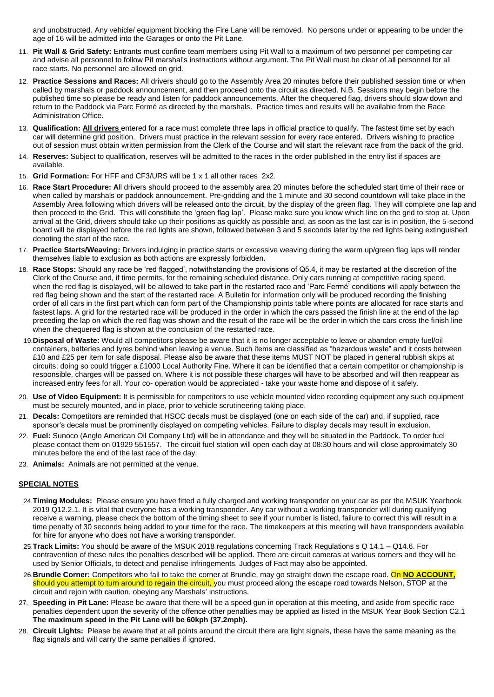and unobstructed. Any vehicle/ equipment blocking the Fire Lane will be removed. No persons under or appearing to be under the age of 16 will be admitted into the Garages or onto the Pit Lane.

- 11. **Pit Wall & Grid Safety:** Entrants must confine team members using Pit Wall to a maximum of two personnel per competing car and advise all personnel to follow Pit marshal's instructions without argument. The Pit Wall must be clear of all personnel for all race starts. No personnel are allowed on grid.
- 12. **Practice Sessions and Races:** All drivers should go to the Assembly Area 20 minutes before their published session time or when called by marshals or paddock announcement, and then proceed onto the circuit as directed. N.B. Sessions may begin before the published time so please be ready and listen for paddock announcements. After the chequered flag, drivers should slow down and return to the Paddock via Parc Fermé as directed by the marshals. Practice times and results will be available from the Race Administration Office.
- 13. **Qualification: All drivers** entered for a race must complete three laps in official practice to qualify. The fastest time set by each car will determine grid position. Drivers must practice in the relevant session for every race entered. Drivers wishing to practice out of session must obtain written permission from the Clerk of the Course and will start the relevant race from the back of the grid.
- 14. **Reserves:** Subject to qualification, reserves will be admitted to the races in the order published in the entry list if spaces are available.
- 15. **Grid Formation:** For HFF and CF3/URS will be 1 x 1 all other races 2x2.
- 16. **Race Start Procedure: A**ll drivers should proceed to the assembly area 20 minutes before the scheduled start time of their race or when called by marshals or paddock announcement. Pre-gridding and the 1 minute and 30 second countdown will take place in the Assembly Area following which drivers will be released onto the circuit, by the display of the green flag. They will complete one lap and then proceed to the Grid. This will constitute the 'green flag lap'. Please make sure you know which line on the grid to stop at. Upon arrival at the Grid, drivers should take up their positions as quickly as possible and, as soon as the last car is in position, the 5-second board will be displayed before the red lights are shown, followed between 3 and 5 seconds later by the red lights being extinguished denoting the start of the race.
- 17. **Practice Starts/Weaving:** Drivers indulging in practice starts or excessive weaving during the warm up/green flag laps will render themselves liable to exclusion as both actions are expressly forbidden.
- 18. **Race Stops:** Should any race be 'red flagged', notwithstanding the provisions of Q5.4, it may be restarted at the discretion of the Clerk of the Course and, if time permits, for the remaining scheduled distance. Only cars running at competitive racing speed, when the red flag is displayed, will be allowed to take part in the restarted race and 'Parc Fermé' conditions will apply between the red flag being shown and the start of the restarted race. A Bulletin for information only will be produced recording the finishing order of all cars in the first part which can form part of the Championship points table where points are allocated for race starts and fastest laps. A grid for the restarted race will be produced in the order in which the cars passed the finish line at the end of the lap preceding the lap on which the red flag was shown and the result of the race will be the order in which the cars cross the finish line when the chequered flag is shown at the conclusion of the restarted race.
- 19.**Disposal of Waste:** Would all competitors please be aware that it is no longer acceptable to leave or abandon empty fuel/oil containers, batteries and tyres behind when leaving a venue. Such items are classified as "hazardous waste" and it costs between £10 and £25 per item for safe disposal. Please also be aware that these items MUST NOT be placed in general rubbish skips at circuits; doing so could trigger a £1000 Local Authority Fine. Where it can be identified that a certain competitor or championship is responsible, charges will be passed on. Where it is not possible these charges will have to be absorbed and will then reappear as increased entry fees for all. Your co- operation would be appreciated - take your waste home and dispose of it safely.
- 20. **Use of Video Equipment:** It is permissible for competitors to use vehicle mounted video recording equipment any such equipment must be securely mounted, and in place, prior to vehicle scrutineering taking place.
- 21. **Decals:** Competitors are reminded that HSCC decals must be displayed (one on each side of the car) and, if supplied, race sponsor's decals must be prominently displayed on competing vehicles. Failure to display decals may result in exclusion.
- 22. **Fuel:** Sunoco (Anglo American Oil Company Ltd) will be in attendance and they will be situated in the Paddock. To order fuel please contact them on 01929 551557. The circuit fuel station will open each day at 08:30 hours and will close approximately 30 minutes before the end of the last race of the day.
- 23. **Animals:** Animals are not permitted at the venue.

## **SPECIAL NOTES**

- 24.**Timing Modules:** Please ensure you have fitted a fully charged and working transponder on your car as per the MSUK Yearbook 2019 Q12.2.1. It is vital that everyone has a working transponder. Any car without a working transponder will during qualifying receive a warning, please check the bottom of the timing sheet to see if your number is listed, failure to correct this will result in a time penalty of 30 seconds being added to your time for the race. The timekeepers at this meeting will have transponders available for hire for anyone who does not have a working transponder.
- 25.**Track Limits:** You should be aware of the MSUK 2018 regulations concerning Track Regulations s Q 14.1 Q14.6. For contravention of these rules the penalties described will be applied. There are circuit cameras at various corners and they will be used by Senior Officials, to detect and penalise infringements. Judges of Fact may also be appointed.
- 26.**Brundle Corner:** Competitors who fail to take the corner at Brundle, may go straight down the escape road. On **NO ACCOUNT,**  should you attempt to turn around to regain the circuit, you must proceed along the escape road towards Nelson, STOP at the circuit and rejoin with caution, obeying any Marshals' instructions.
- 27. **Speeding in Pit Lane:** Please be aware that there will be a speed gun in operation at this meeting, and aside from specific race penalties dependent upon the severity of the offence other penalties may be applied as listed in the MSUK Year Book Section C2.1 **The maximum speed in the Pit Lane will be 60kph (37.2mph).**
- 28. **Circuit Lights:** Please be aware that at all points around the circuit there are light signals, these have the same meaning as the flag signals and will carry the same penalties if ignored.